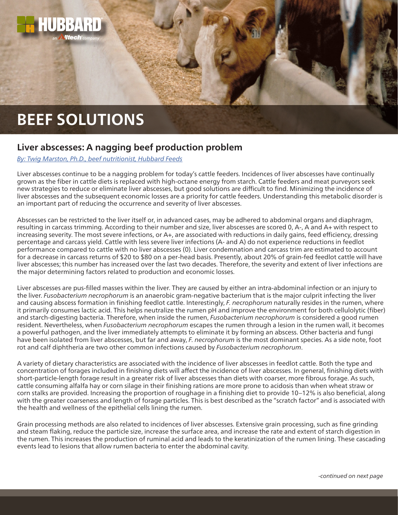

## **Liver abscesses: A nagging beef production problem**

## *[By: Twig Marston, Ph.D., beef nutritionist, Hubbard Feeds](mailto:beefteam%40hubbardfeeds.com?subject=)*

Liver abscesses continue to be a nagging problem for today's cattle feeders. Incidences of liver abscesses have continually grown as the fiber in cattle diets is replaced with high-octane energy from starch. Cattle feeders and meat purveyors seek new strategies to reduce or eliminate liver abscesses, but good solutions are difficult to find. Minimizing the incidence of liver abscesses and the subsequent economic losses are a priority for cattle feeders. Understanding this metabolic disorder is an important part of reducing the occurrence and severity of liver abscesses.

Abscesses can be restricted to the liver itself or, in advanced cases, may be adhered to abdominal organs and diaphragm, resulting in carcass trimming. According to their number and size, liver abscesses are scored 0, A-, A and A+ with respect to increasing severity. The most severe infections, or A+, are associated with reductions in daily gains, feed efficiency, dressing percentage and carcass yield. Cattle with less severe liver infections (A- and A) do not experience reductions in feedlot performance compared to cattle with no liver abscesses (0). Liver condemnation and carcass trim are estimated to account for a decrease in carcass returns of \$20 to \$80 on a per-head basis. Presently, about 20% of grain-fed feedlot cattle will have liver abscesses; this number has increased over the last two decades. Therefore, the severity and extent of liver infections are the major determining factors related to production and economic losses.

Liver abscesses are pus-filled masses within the liver. They are caused by either an intra-abdominal infection or an injury to the liver. *Fusobacterium necrophorum* is an anaerobic gram-negative bacterium that is the major culprit infecting the liver and causing abscess formation in finishing feedlot cattle. Interestingly, *F. necrophorum* naturally resides in the rumen, where it primarily consumes lactic acid. This helps neutralize the rumen pH and improve the environment for both cellulolytic (fiber) and starch-digesting bacteria. Therefore, when inside the rumen, *Fusobacterium necrophorum* is considered a good rumen resident. Nevertheless, when *Fusobacterium necrophorum* escapes the rumen through a lesion in the rumen wall, it becomes a powerful pathogen, and the liver immediately attempts to eliminate it by forming an abscess. Other bacteria and fungi have been isolated from liver abscesses, but far and away, *F. necrophorum* is the most dominant species. As a side note, foot rot and calf diphtheria are two other common infections caused by *Fusobacterium necrophorum*.

A variety of dietary characteristics are associated with the incidence of liver abscesses in feedlot cattle. Both the type and concentration of forages included in finishing diets will affect the incidence of liver abscesses. In general, finishing diets with short-particle-length forage result in a greater risk of liver abscesses than diets with coarser, more fibrous forage. As such, cattle consuming alfalfa hay or corn silage in their finishing rations are more prone to acidosis than when wheat straw or corn stalks are provided. Increasing the proportion of roughage in a finishing diet to provide 10–12% is also beneficial, along with the greater coarseness and length of forage particles. This is best described as the "scratch factor" and is associated with the health and wellness of the epithelial cells lining the rumen.

Grain processing methods are also related to incidences of liver abscesses. Extensive grain processing, such as fine grinding and steam flaking, reduce the particle size, increase the surface area, and increase the rate and extent of starch digestion in the rumen. This increases the production of ruminal acid and leads to the keratinization of the rumen lining. These cascading events lead to lesions that allow rumen bacteria to enter the abdominal cavity.